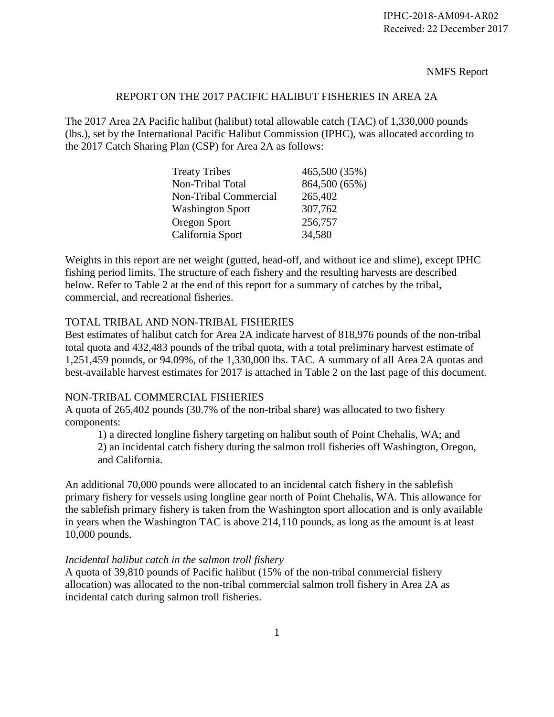NMFS Report

## REPORT ON THE 2017 PACIFIC HALIBUT FISHERIES IN AREA 2A

The 2017 Area 2A Pacific halibut (halibut) total allowable catch (TAC) of 1,330,000 pounds (lbs.), set by the International Pacific Halibut Commission (IPHC), was allocated according to the 2017 Catch Sharing Plan (CSP) for Area 2A as follows:

| <b>Treaty Tribes</b>    | 465,500 (35%) |
|-------------------------|---------------|
| Non-Tribal Total        | 864,500 (65%) |
| Non-Tribal Commercial   | 265,402       |
| <b>Washington Sport</b> | 307,762       |
| Oregon Sport            | 256,757       |
| California Sport        | 34,580        |

Weights in this report are net weight (gutted, head-off, and without ice and slime), except IPHC fishing period limits. The structure of each fishery and the resulting harvests are described below. Refer to Table 2 at the end of this report for a summary of catches by the tribal, commercial, and recreational fisheries.

### TOTAL TRIBAL AND NON-TRIBAL FISHERIES

Best estimates of halibut catch for Area 2A indicate harvest of 818,976 pounds of the non-tribal total quota and 432,483 pounds of the tribal quota, with a total preliminary harvest estimate of 1,251,459 pounds, or 94.09%, of the 1,330,000 lbs. TAC. A summary of all Area 2A quotas and best-available harvest estimates for 2017 is attached in Table 2 on the last page of this document.

### NON-TRIBAL COMMERCIAL FISHERIES

A quota of 265,402 pounds (30.7% of the non-tribal share) was allocated to two fishery components:

1) a directed longline fishery targeting on halibut south of Point Chehalis, WA; and 2) an incidental catch fishery during the salmon troll fisheries off Washington, Oregon, and California.

An additional 70,000 pounds were allocated to an incidental catch fishery in the sablefish primary fishery for vessels using longline gear north of Point Chehalis, WA. This allowance for the sablefish primary fishery is taken from the Washington sport allocation and is only available in years when the Washington TAC is above 214,110 pounds, as long as the amount is at least 10,000 pounds.

### *Incidental halibut catch in the salmon troll fishery*

A quota of 39,810 pounds of Pacific halibut (15% of the non-tribal commercial fishery allocation) was allocated to the non-tribal commercial salmon troll fishery in Area 2A as incidental catch during salmon troll fisheries.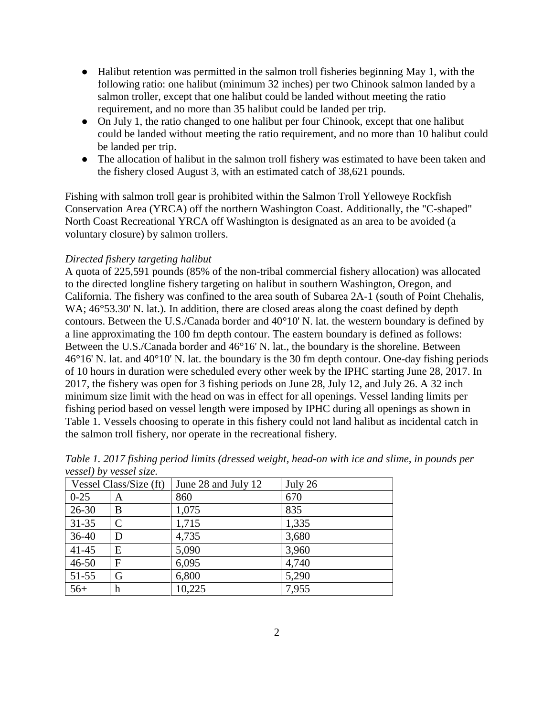- Halibut retention was permitted in the salmon troll fisheries beginning May 1, with the following ratio: one halibut (minimum 32 inches) per two Chinook salmon landed by a salmon troller, except that one halibut could be landed without meeting the ratio requirement, and no more than 35 halibut could be landed per trip.
- On July 1, the ratio changed to one halibut per four Chinook, except that one halibut could be landed without meeting the ratio requirement, and no more than 10 halibut could be landed per trip.
- The allocation of halibut in the salmon troll fishery was estimated to have been taken and the fishery closed August 3, with an estimated catch of 38,621 pounds.

Fishing with salmon troll gear is prohibited within the Salmon Troll Yelloweye Rockfish Conservation Area (YRCA) off the northern Washington Coast. Additionally, the "C-shaped" North Coast Recreational YRCA off Washington is designated as an area to be avoided (a voluntary closure) by salmon trollers.

## *Directed fishery targeting halibut*

A quota of 225,591 pounds (85% of the non-tribal commercial fishery allocation) was allocated to the directed longline fishery targeting on halibut in southern Washington, Oregon, and California. The fishery was confined to the area south of Subarea 2A-1 (south of Point Chehalis, WA;  $46^{\circ}53.30$ ' N. lat.). In addition, there are closed areas along the coast defined by depth contours. Between the U.S./Canada border and 40°10' N. lat. the western boundary is defined by a line approximating the 100 fm depth contour. The eastern boundary is defined as follows: Between the U.S./Canada border and 46°16' N. lat., the boundary is the shoreline. Between 46°16' N. lat. and 40°10' N. lat. the boundary is the 30 fm depth contour. One-day fishing periods of 10 hours in duration were scheduled every other week by the IPHC starting June 28, 2017. In 2017, the fishery was open for 3 fishing periods on June 28, July 12, and July 26. A 32 inch minimum size limit with the head on was in effect for all openings. Vessel landing limits per fishing period based on vessel length were imposed by IPHC during all openings as shown in Table 1. Vessels choosing to operate in this fishery could not land halibut as incidental catch in the salmon troll fishery, nor operate in the recreational fishery.

|                        | $\ldots$     |                     |         |  |  |
|------------------------|--------------|---------------------|---------|--|--|
| Vessel Class/Size (ft) |              | June 28 and July 12 | July 26 |  |  |
| $0 - 25$               | A            | 860                 | 670     |  |  |
| $26 - 30$              | B            | 1,075               | 835     |  |  |
| $31 - 35$              | $\mathsf{C}$ | 1,715               | 1,335   |  |  |
| $36-40$                | D            | 4,735               | 3,680   |  |  |
| $41 - 45$              | E            | 5,090               | 3,960   |  |  |
| $46 - 50$              | F            | 6,095               | 4,740   |  |  |
| $51-55$                | G            | 6,800               | 5,290   |  |  |
| $56+$                  | h            | 10,225              | 7,955   |  |  |

*Table 1. 2017 fishing period limits (dressed weight, head-on with ice and slime, in pounds per vessel) by vessel size.*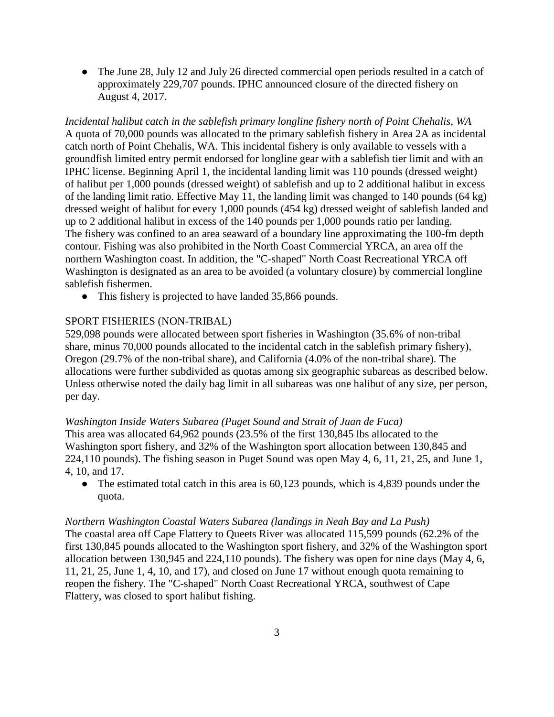• The June 28, July 12 and July 26 directed commercial open periods resulted in a catch of approximately 229,707 pounds. IPHC announced closure of the directed fishery on August 4, 2017.

*Incidental halibut catch in the sablefish primary longline fishery north of Point Chehalis, WA* A quota of 70,000 pounds was allocated to the primary sablefish fishery in Area 2A as incidental catch north of Point Chehalis, WA. This incidental fishery is only available to vessels with a groundfish limited entry permit endorsed for longline gear with a sablefish tier limit and with an IPHC license. Beginning April 1, the incidental landing limit was 110 pounds (dressed weight) of halibut per 1,000 pounds (dressed weight) of sablefish and up to 2 additional halibut in excess of the landing limit ratio. Effective May 11, the landing limit was changed to 140 pounds (64 kg) dressed weight of halibut for every 1,000 pounds (454 kg) dressed weight of sablefish landed and up to 2 additional halibut in excess of the 140 pounds per 1,000 pounds ratio per landing. The fishery was confined to an area seaward of a boundary line approximating the 100-fm depth contour. Fishing was also prohibited in the North Coast Commercial YRCA, an area off the northern Washington coast. In addition, the "C-shaped" North Coast Recreational YRCA off Washington is designated as an area to be avoided (a voluntary closure) by commercial longline sablefish fishermen.

• This fishery is projected to have landed 35,866 pounds.

### SPORT FISHERIES (NON-TRIBAL)

529,098 pounds were allocated between sport fisheries in Washington (35.6% of non-tribal share, minus 70,000 pounds allocated to the incidental catch in the sablefish primary fishery), Oregon (29.7% of the non-tribal share), and California (4.0% of the non-tribal share). The allocations were further subdivided as quotas among six geographic subareas as described below. Unless otherwise noted the daily bag limit in all subareas was one halibut of any size, per person, per day.

### *Washington Inside Waters Subarea (Puget Sound and Strait of Juan de Fuca)*

This area was allocated 64,962 pounds (23.5% of the first 130,845 lbs allocated to the Washington sport fishery, and 32% of the Washington sport allocation between 130,845 and 224,110 pounds). The fishing season in Puget Sound was open May 4, 6, 11, 21, 25, and June 1, 4, 10, and 17.

• The estimated total catch in this area is 60,123 pounds, which is 4,839 pounds under the quota.

#### *Northern Washington Coastal Waters Subarea (landings in Neah Bay and La Push)*

The coastal area off Cape Flattery to Queets River was allocated 115,599 pounds (62.2% of the first 130,845 pounds allocated to the Washington sport fishery, and 32% of the Washington sport allocation between 130,945 and 224,110 pounds). The fishery was open for nine days (May 4, 6, 11, 21, 25, June 1, 4, 10, and 17), and closed on June 17 without enough quota remaining to reopen the fishery. The "C-shaped" North Coast Recreational YRCA, southwest of Cape Flattery, was closed to sport halibut fishing.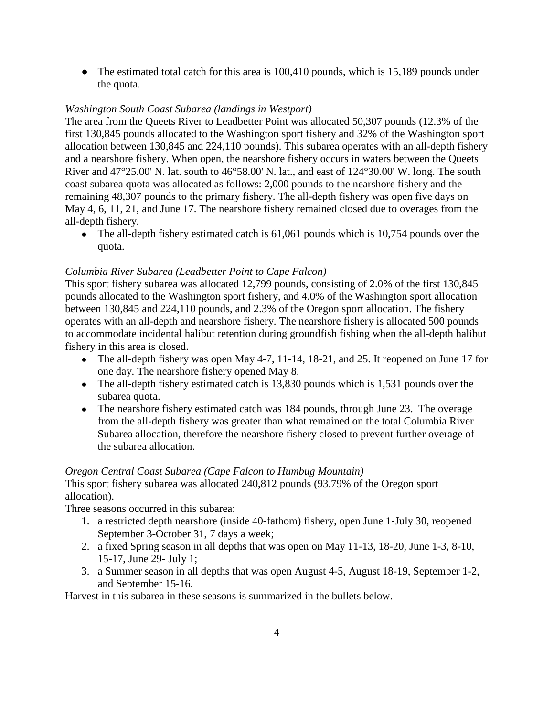• The estimated total catch for this area is 100,410 pounds, which is 15,189 pounds under the quota.

# *Washington South Coast Subarea (landings in Westport)*

The area from the Queets River to Leadbetter Point was allocated 50,307 pounds (12.3% of the first 130,845 pounds allocated to the Washington sport fishery and 32% of the Washington sport allocation between 130,845 and 224,110 pounds). This subarea operates with an all-depth fishery and a nearshore fishery. When open, the nearshore fishery occurs in waters between the Queets River and 47°25.00' N. lat. south to 46°58.00' N. lat., and east of 124°30.00' W. long. The south coast subarea quota was allocated as follows: 2,000 pounds to the nearshore fishery and the remaining 48,307 pounds to the primary fishery. The all-depth fishery was open five days on May 4, 6, 11, 21, and June 17. The nearshore fishery remained closed due to overages from the all-depth fishery.

• The all-depth fishery estimated catch is 61,061 pounds which is 10,754 pounds over the quota.

# *Columbia River Subarea (Leadbetter Point to Cape Falcon)*

This sport fishery subarea was allocated 12,799 pounds, consisting of 2.0% of the first 130,845 pounds allocated to the Washington sport fishery, and 4.0% of the Washington sport allocation between 130,845 and 224,110 pounds, and 2.3% of the Oregon sport allocation. The fishery operates with an all-depth and nearshore fishery. The nearshore fishery is allocated 500 pounds to accommodate incidental halibut retention during groundfish fishing when the all-depth halibut fishery in this area is closed.

- The all-depth fishery was open May 4-7, 11-14, 18-21, and 25. It reopened on June 17 for one day. The nearshore fishery opened May 8.
- The all-depth fishery estimated catch is 13,830 pounds which is 1,531 pounds over the subarea quota.
- The nearshore fishery estimated catch was 184 pounds, through June 23. The overage from the all-depth fishery was greater than what remained on the total Columbia River Subarea allocation, therefore the nearshore fishery closed to prevent further overage of the subarea allocation.

## *Oregon Central Coast Subarea (Cape Falcon to Humbug Mountain)*

This sport fishery subarea was allocated 240,812 pounds (93.79% of the Oregon sport allocation).

Three seasons occurred in this subarea:

- 1. a restricted depth nearshore (inside 40-fathom) fishery, open June 1-July 30, reopened September 3-October 31, 7 days a week;
- 2. a fixed Spring season in all depths that was open on May 11-13, 18-20, June 1-3, 8-10, 15-17, June 29- July 1;
- 3. a Summer season in all depths that was open August 4-5, August 18-19, September 1-2, and September 15-16.

Harvest in this subarea in these seasons is summarized in the bullets below.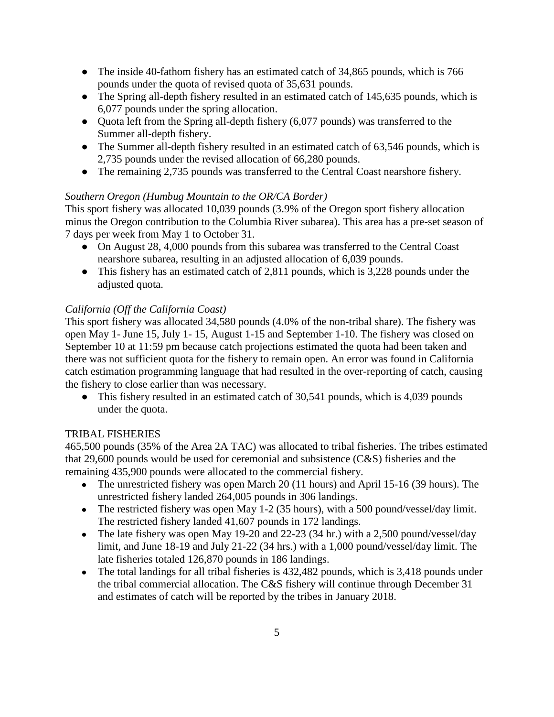- The inside 40-fathom fishery has an estimated catch of 34,865 pounds, which is 766 pounds under the quota of revised quota of 35,631 pounds.
- The Spring all-depth fishery resulted in an estimated catch of 145,635 pounds, which is 6,077 pounds under the spring allocation.
- Ouota left from the Spring all-depth fishery (6,077 pounds) was transferred to the Summer all-depth fishery.
- The Summer all-depth fishery resulted in an estimated catch of 63,546 pounds, which is 2,735 pounds under the revised allocation of 66,280 pounds.
- The remaining 2,735 pounds was transferred to the Central Coast nearshore fishery.

# *Southern Oregon (Humbug Mountain to the OR/CA Border)*

This sport fishery was allocated 10,039 pounds (3.9% of the Oregon sport fishery allocation minus the Oregon contribution to the Columbia River subarea). This area has a pre-set season of 7 days per week from May 1 to October 31.

- On August 28, 4,000 pounds from this subarea was transferred to the Central Coast nearshore subarea, resulting in an adjusted allocation of 6,039 pounds.
- This fishery has an estimated catch of 2,811 pounds, which is 3,228 pounds under the adjusted quota.

# *California (Off the California Coast)*

This sport fishery was allocated 34,580 pounds (4.0% of the non-tribal share). The fishery was open May 1- June 15, July 1- 15, August 1-15 and September 1-10. The fishery was closed on September 10 at 11:59 pm because catch projections estimated the quota had been taken and there was not sufficient quota for the fishery to remain open. An error was found in California catch estimation programming language that had resulted in the over-reporting of catch, causing the fishery to close earlier than was necessary.

● This fishery resulted in an estimated catch of 30,541 pounds, which is 4,039 pounds under the quota.

## TRIBAL FISHERIES

465,500 pounds (35% of the Area 2A TAC) was allocated to tribal fisheries. The tribes estimated that 29,600 pounds would be used for ceremonial and subsistence (C&S) fisheries and the remaining 435,900 pounds were allocated to the commercial fishery.

- The unrestricted fishery was open March 20 (11 hours) and April 15-16 (39 hours). The unrestricted fishery landed 264,005 pounds in 306 landings.
- The restricted fishery was open May 1-2 (35 hours), with a 500 pound/vessel/day limit. The restricted fishery landed 41,607 pounds in 172 landings.
- The late fishery was open May 19-20 and 22-23 (34 hr.) with a 2,500 pound/vessel/day limit, and June 18-19 and July 21-22 (34 hrs.) with a 1,000 pound/vessel/day limit. The late fisheries totaled 126,870 pounds in 186 landings.
- The total landings for all tribal fisheries is 432,482 pounds, which is 3,418 pounds under the tribal commercial allocation. The C&S fishery will continue through December 31 and estimates of catch will be reported by the tribes in January 2018.